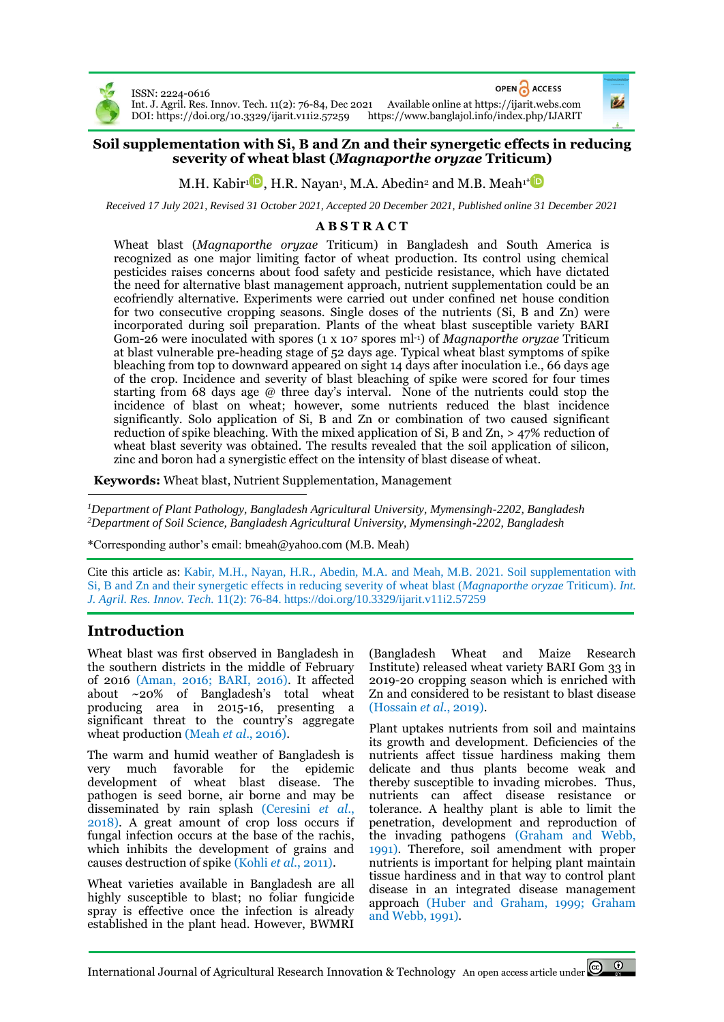

OPEN CACCESS ISSN: 2224-0616 Int. J. Agril. Res. Innov. Tech. 11(2): 76-84, Dec 2021 Available online a[t https://ijarit.webs.com](http://ijarit.webs.com/) DOI[: https://doi.org/10.3329/ijarit.v11i2.57259](https://doi.org/10.3329/ijarit.v11i2.57259) <https://www.banglajol.info/index.php/IJARIT>

## **Soil supplementation with Si, B and Zn and their synergetic effects in reducing severity of wheat blast (***Magnaporthe oryzae* **Triticum)**

M.H. Kabir' $\blacksquare$ , H.R. Nayan<sup>ı</sup>, M.A. Abedin<sup>2</sup> and M.B. Meah<sup>[1](https://orcid.org/0000-0001-6883-3701)[\\*](https://orcid.org/0000-0001-6824-4253)</sup>

*Received 17 July 2021, Revised 31 October 2021, Accepted 20 December 2021, Published online 31 December 2021*

### **A B S T R A C T**

Wheat blast (*Magnaporthe oryzae* Triticum) in Bangladesh and South America is recognized as one major limiting factor of wheat production. Its control using chemical pesticides raises concerns about food safety and pesticide resistance, which have dictated the need for alternative blast management approach, nutrient supplementation could be an ecofriendly alternative. Experiments were carried out under confined net house condition for two consecutive cropping seasons. Single doses of the nutrients (Si, B and Zn) were incorporated during soil preparation. Plants of the wheat blast susceptible variety BARI Gom-26 were inoculated with spores (1 x 10<sup>7</sup> spores ml-1) of *Magnaporthe oryzae* Triticum at blast vulnerable pre-heading stage of 52 days age. Typical wheat blast symptoms of spike bleaching from top to downward appeared on sight 14 days after inoculation i.e., 66 days age of the crop. Incidence and severity of blast bleaching of spike were scored for four times starting from 68 days age @ three day's interval. None of the nutrients could stop the incidence of blast on wheat; however, some nutrients reduced the blast incidence significantly. Solo application of Si, B and Zn or combination of two caused significant reduction of spike bleaching. With the mixed application of Si, B and Zn,  $>$  47% reduction of wheat blast severity was obtained. The results revealed that the soil application of silicon, zinc and boron had a synergistic effect on the intensity of blast disease of wheat.

**Keywords:** Wheat blast, Nutrient Supplementation, Management

*<sup>1</sup>Department of Plant Pathology, Bangladesh Agricultural University, Mymensingh-2202, Bangladesh <sup>2</sup>Department of Soil Science, Bangladesh Agricultural University, Mymensingh-2202, Bangladesh*

\*Corresponding author's email[: bmeah@yahoo.com](mailto:bmeah@yahoo.com) (M.B. Meah)

Cite this article as: Kabir, M.H., Nayan, H.R., Abedin, M.A. and Meah, M.B. 2021. Soil supplementation with Si, B and Zn and their synergetic effects in reducing severity of wheat blast (*Magnaporthe oryzae* Triticum). *Int. J. Agril. Res. Innov. Tech.* 11(2): 76-84.<https://doi.org/10.3329/ijarit.v11i2.57259>

# **Introduction**

Wheat blast was first observed in Bangladesh in the southern districts in the middle of February of 2016 (Aman, 2016; BARI, 2016). It affected about ~20% of Bangladesh's total wheat producing area in 2015-16, presenting a significant threat to the country's aggregate wheat production (Meah *et al*., 2016).

The warm and humid weather of Bangladesh is very much favorable for the epidemic development of wheat blast disease. The pathogen is seed borne, air borne and may be disseminated by rain splash (Ceresini *et al*., 2018). A great amount of crop loss occurs if fungal infection occurs at the base of the rachis, which inhibits the development of grains and causes destruction of spike (Kohli *et al*., 2011).

Wheat varieties available in Bangladesh are all highly susceptible to blast; no foliar fungicide spray is effective once the infection is already established in the plant head. However, BWMRI

(Bangladesh Wheat and Maize Research Institute) released wheat variety BARI Gom 33 in 2019-20 cropping season which is enriched with Zn and considered to be resistant to blast disease (Hossain *et al*., 2019).

Plant uptakes nutrients from soil and maintains its growth and development. Deficiencies of the nutrients affect tissue hardiness making them delicate and thus plants become weak and thereby susceptible to invading microbes. Thus, nutrients can affect disease resistance or tolerance. A healthy plant is able to limit the penetration, development and reproduction of the invading pathogens (Graham and Webb, 1991). Therefore, soil amendment with proper nutrients is important for helping plant maintain tissue hardiness and in that way to control plant disease in an integrated disease management approach (Huber and Graham, 1999; Graham and Webb, 1991).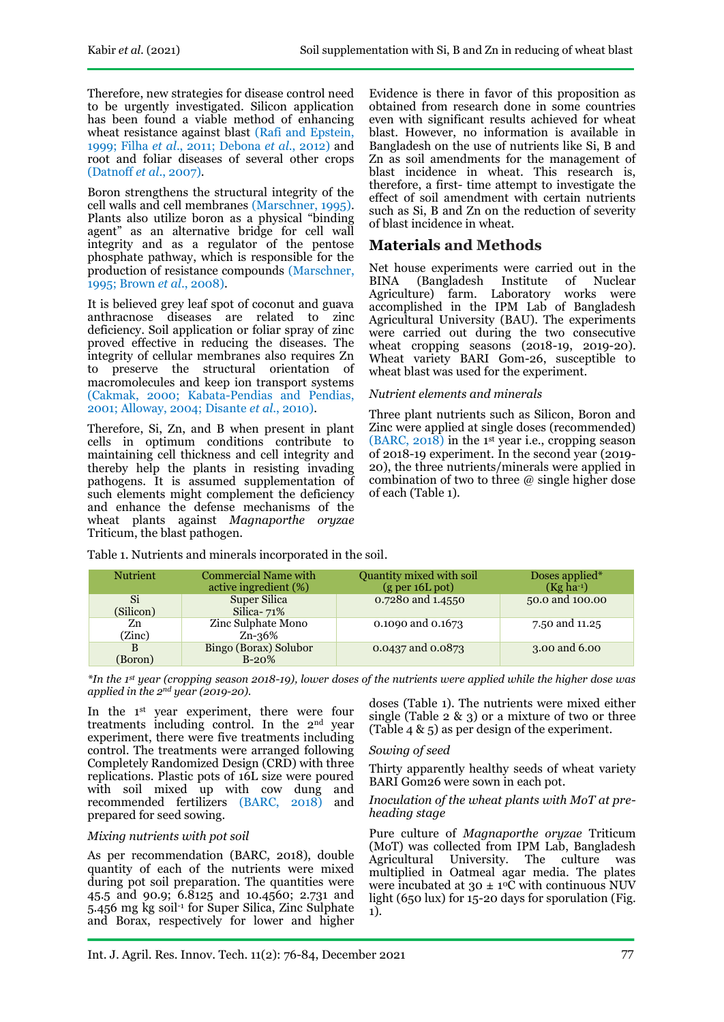Therefore, new strategies for disease control need to be urgently investigated. Silicon application has been found a viable method of enhancing wheat resistance against blast (Rafi and Epstein, 1999; Filha *et al*., 2011; Debona *et al*., 2012) and root and foliar diseases of several other crops (Datnoff *et al*., 2007).

Boron strengthens the structural integrity of the cell walls and cell membranes (Marschner, 1995). Plants also utilize boron as a physical "binding agent" as an alternative bridge for cell wall integrity and as a regulator of the pentose phosphate pathway, which is responsible for the production of resistance compounds (Marschner, 1995; Brown *et al*., 2008).

It is believed grey leaf spot of coconut and guava anthracnose diseases are related to zinc deficiency. Soil application or foliar spray of zinc proved effective in reducing the diseases. The integrity of cellular membranes also requires Zn to preserve the structural orientation of macromolecules and keep ion transport systems (Cakmak, 2000; Kabata-Pendias and Pendias, 2001; Alloway, 2004; Disante *et al*., 2010).

Therefore, Si, Zn, and B when present in plant cells in optimum conditions contribute to maintaining cell thickness and cell integrity and thereby help the plants in resisting invading pathogens. It is assumed supplementation of such elements might complement the deficiency and enhance the defense mechanisms of the wheat plants against *Magnaporthe oryzae* Triticum, the blast pathogen.

Evidence is there in favor of this proposition as obtained from research done in some countries even with significant results achieved for wheat blast. However, no information is available in Bangladesh on the use of nutrients like Si, B and Zn as soil amendments for the management of blast incidence in wheat. This research is, therefore, a first- time attempt to investigate the effect of soil amendment with certain nutrients such as Si, B and Zn on the reduction of severity of blast incidence in wheat.

# **Materials and Methods**

Net house experiments were carried out in the<br>BINA (Bangladesh Institute of Nuclear BINA (Bangladesh Institute of Nuclear<br>Agriculture) farm. Laboratory works were Agriculture) farm. Laboratory accomplished in the IPM Lab of Bangladesh Agricultural University (BAU). The experiments were carried out during the two consecutive wheat cropping seasons (2018-19, 2019-20). Wheat variety BARI Gom-26, susceptible to wheat blast was used for the experiment.

### *Nutrient elements and minerals*

Three plant nutrients such as Silicon, Boron and Zinc were applied at single doses (recommended) (BARC, 2018) in the 1st year i.e., cropping season of 2018-19 experiment. In the second year (2019- 20), the three nutrients/minerals were applied in combination of two to three @ single higher dose of each (Table 1).

| <b>Nutrient</b> | <b>Commercial Name with</b><br>active ingredient (%) | Quantity mixed with soil<br>(g per 16L pot) | Doses applied*<br>$(Kg ha^{-1})$ |
|-----------------|------------------------------------------------------|---------------------------------------------|----------------------------------|
| Si<br>(Silicon) | Super Silica<br>Silica- $71\%$                       | 0.7280 and 1.4550                           | 50.0 and 100.00                  |
| Zn<br>(Zinc)    | Zinc Sulphate Mono<br>Zn-36%                         | 0.1090 and 0.1673                           | 7.50 and 11.25                   |
| B<br>(Boron)    | Bingo (Borax) Solubor<br>$B-20%$                     | 0.0437 and 0.0873                           | 3.00 and 6.00                    |

Table 1. Nutrients and minerals incorporated in the soil.

*\*In the 1st year (cropping season 2018-19), lower doses of the nutrients were applied while the higher dose was applied in the 2nd year (2019-20).*

In the 1<sup>st</sup> year experiment, there were four treatments including control. In the 2nd year experiment, there were five treatments including control. The treatments were arranged following Completely Randomized Design (CRD) with three replications. Plastic pots of 16L size were poured with soil mixed up with cow dung and recommended fertilizers (BARC, 2018) and prepared for seed sowing.

## *Mixing nutrients with pot soil*

As per recommendation (BARC, 2018), double quantity of each of the nutrients were mixed during pot soil preparation. The quantities were 45.5 and 90.9; 6.8125 and 10.4560; 2.731 and 5.456 mg kg soil-1 for Super Silica, Zinc Sulphate and Borax, respectively for lower and higher doses (Table 1). The nutrients were mixed either single (Table  $2 \& 3$ ) or a mixture of two or three (Table 4 & 5) as per design of the experiment.

## *Sowing of seed*

Thirty apparently healthy seeds of wheat variety BARI Gom26 were sown in each pot.

#### *Inoculation of the wheat plants with MoT at preheading stage*

Pure culture of *Magnaporthe oryzae* Triticum (MoT) was collected from IPM Lab, Bangladesh Agricultural University. The culture was multiplied in Oatmeal agar media. The plates were incubated at  $30 \pm 10\overline{C}$  with continuous NUV light (650 lux) for 15-20 days for sporulation (Fig. 1).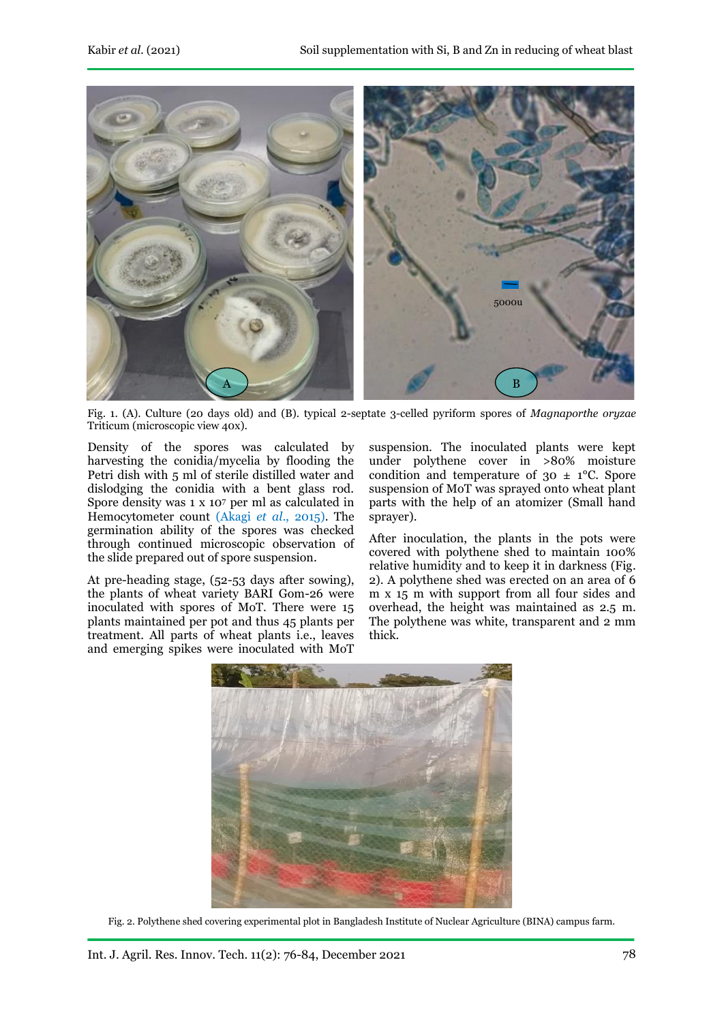

Fig. 1. (A). Culture (20 days old) and (B). typical 2-septate 3-celled pyriform spores of *Magnaporthe oryzae*  Triticum (microscopic view 40x).

Density of the spores was calculated by harvesting the conidia/mycelia by flooding the Petri dish with 5 ml of sterile distilled water and dislodging the conidia with a bent glass rod. Spore density was 1 x 10<sup>7</sup> per ml as calculated in Hemocytometer count (Akagi *et al*., 2015). The germination ability of the spores was checked through continued microscopic observation of the slide prepared out of spore suspension.

At pre-heading stage, (52-53 days after sowing), the plants of wheat variety BARI Gom-26 were inoculated with spores of MoT. There were 15 plants maintained per pot and thus 45 plants per treatment. All parts of wheat plants i.e., leaves and emerging spikes were inoculated with MoT

suspension. The inoculated plants were kept under polythene cover in >80% moisture condition and temperature of  $30 \pm 1$ °C. Spore suspension of MoT was sprayed onto wheat plant parts with the help of an atomizer (Small hand sprayer).

After inoculation, the plants in the pots were covered with polythene shed to maintain 100% relative humidity and to keep it in darkness (Fig. 2). A polythene shed was erected on an area of 6 m x 15 m with support from all four sides and overhead, the height was maintained as 2.5 m. The polythene was white, transparent and 2 mm thick.



Fig. 2. Polythene shed covering experimental plot in Bangladesh Institute of Nuclear Agriculture (BINA) campus farm.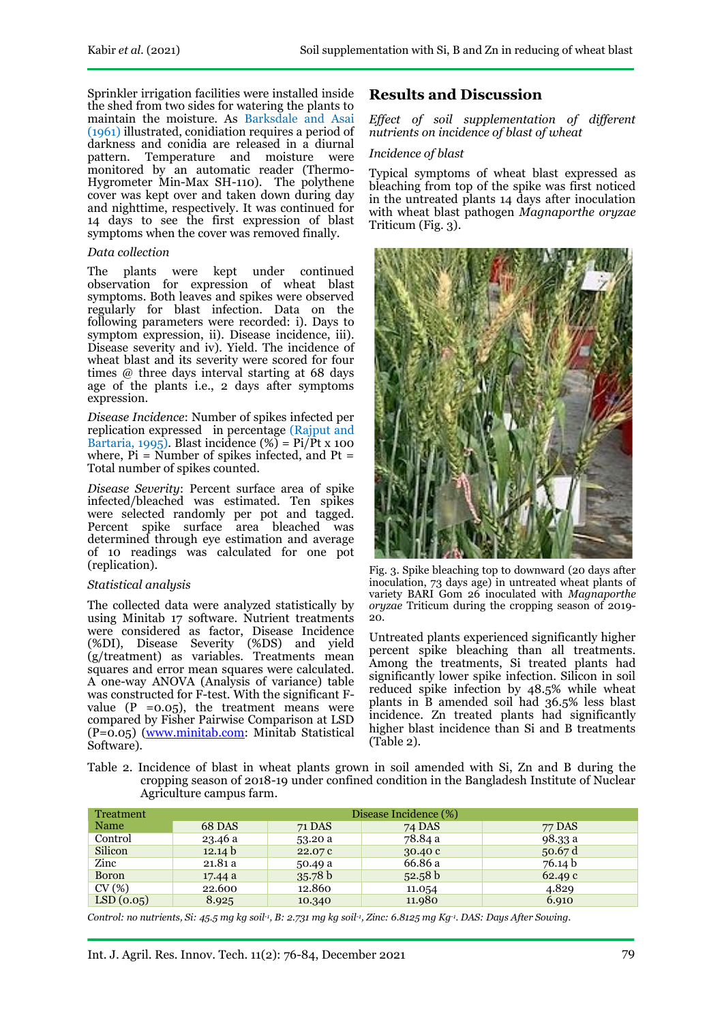Sprinkler irrigation facilities were installed inside the shed from two sides for watering the plants to maintain the moisture. As Barksdale and Asai (1961) illustrated, conidiation requires a period of darkness and conidia are released in a diurnal<br>pattern. Temperature and moisture were Temperature and moisture were monitored by an automatic reader (Thermo-Hygrometer Min-Max SH-110). The polythene cover was kept over and taken down during day and nighttime, respectively. It was continued for 14 days to see the first expression of blast symptoms when the cover was removed finally.

#### *Data collection*

The plants were kept under continued observation for expression of wheat blast symptoms. Both leaves and spikes were observed regularly for blast infection. Data on the following parameters were recorded: i). Days to symptom expression, ii)*.* Disease incidence, iii)*.* Disease severity and iv)*.* Yield. The incidence of wheat blast and its severity were scored for four times @ three days interval starting at 68 days age of the plants i.e., 2 days after symptoms expression.

*Disease Incidence*: Number of spikes infected per replication expressed in percentage (Rajput and Bartaria, 1995). Blast incidence  $(\%)$  = Pi/Pt x 100 where,  $Pi =$  Number of spikes infected, and  $Pt =$ Total number of spikes counted.

*Disease Severity*: Percent surface area of spike infected/bleached was estimated. Ten spikes were selected randomly per pot and tagged. Percent spike surface area bleached was determined through eye estimation and average of 10 readings was calculated for one pot (replication).

#### *Statistical analysis*

The collected data were analyzed statistically by using Minitab 17 software. Nutrient treatments were considered as factor, Disease Incidence (%DI), Disease Severity (%DS) and yield (g/treatment) as variables. Treatments mean squares and error mean squares were calculated. A one-way ANOVA (Analysis of variance) table was constructed for F-test. With the significant Fvalue  $(P = 0.05)$ , the treatment means were compared by Fisher Pairwise Comparison at LSD (P=0.05) [\(www.minitab.com:](http://www.minitab.com/) Minitab Statistical Software).

## **Results and Discussion**

*Effect of soil supplementation of different nutrients on incidence of blast of wheat*

#### *Incidence of blast*

Typical symptoms of wheat blast expressed as bleaching from top of the spike was first noticed in the untreated plants 14 days after inoculation with wheat blast pathogen *Magnaporthe oryzae*  Triticum (Fig. 3).



Fig. 3. Spike bleaching top to downward (20 days after inoculation, 73 days age) in untreated wheat plants of variety BARI Gom 26 inoculated with *Magnaporthe oryzae* Triticum during the cropping season of 2019- 20.

Untreated plants experienced significantly higher percent spike bleaching than all treatments. Among the treatments, Si treated plants had significantly lower spike infection. Silicon in soil reduced spike infection by 48.5% while wheat plants in B amended soil had 36.5% less blast incidence. Zn treated plants had significantly higher blast incidence than Si and B treatments (Table 2).

Table 2. Incidence of blast in wheat plants grown in soil amended with Si, Zn and B during the cropping season of 2018-19 under confined condition in the Bangladesh Institute of Nuclear Agriculture campus farm.

| Treatment | Disease Incidence (%) |         |         |         |  |  |  |  |  |
|-----------|-----------------------|---------|---------|---------|--|--|--|--|--|
| Name      | 68 DAS                | 71 DAS  | 74 DAS  | 77 DAS  |  |  |  |  |  |
| Control   | 23.46 a               | 53.20 a | 78.84 a | 98.33 a |  |  |  |  |  |
| Silicon   | 12.14 b               | 22.07 c | 30.40c  | 50.67 d |  |  |  |  |  |
| Zinc      | 21.81a                | 50.49 a | 66.86 a | 76.14 b |  |  |  |  |  |
| Boron     | 17.44a                | 35.78 b | 52.58 b | 62.49c  |  |  |  |  |  |
| CV(%)     | 22.600                | 12.860  | 11.054  | 4.829   |  |  |  |  |  |
| LSD(0.05) | 8.925                 | 10.340  | 11.980  | 6.910   |  |  |  |  |  |

*Control: no nutrients, Si: 45.5 mg kg soil-1 , B: 2.731 mg kg soil-1 , Zinc: 6.8125 mg Kg-1 . DAS: Days After Sowing.*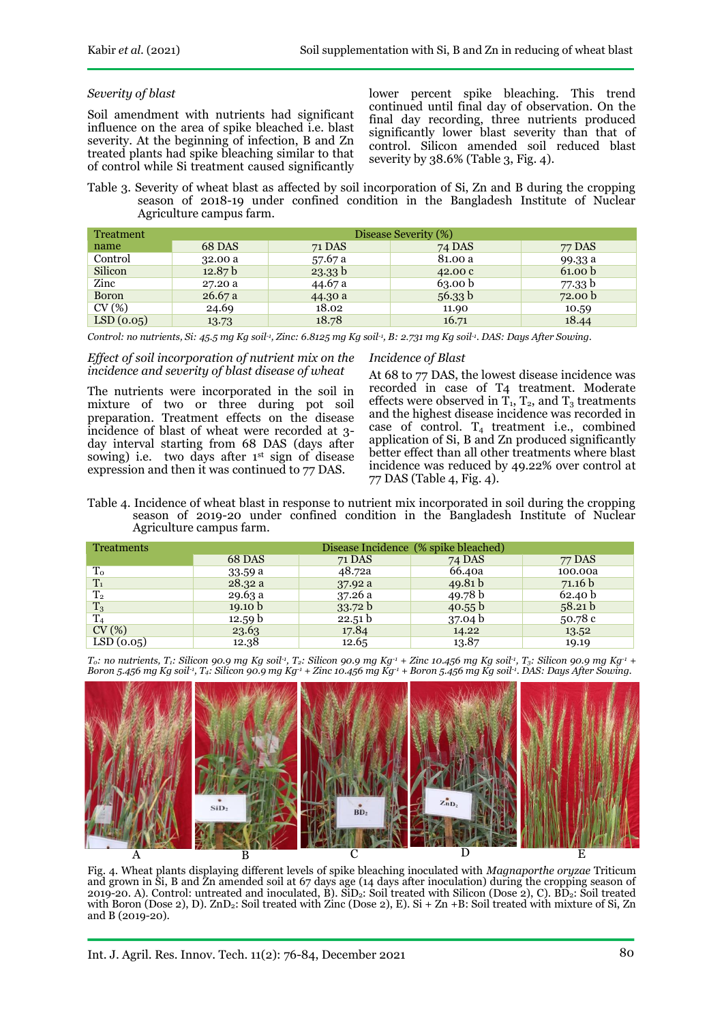#### *Severity of blast*

Soil amendment with nutrients had significant influence on the area of spike bleached i.e. blast severity. At the beginning of infection, B and Zn treated plants had spike bleaching similar to that of control while Si treatment caused significantly

lower percent spike bleaching. This trend continued until final day of observation. On the final day recording, three nutrients produced significantly lower blast severity than that of control. Silicon amended soil reduced blast severity by 38.6% (Table 3, Fig. 4).

Table 3. Severity of wheat blast as affected by soil incorporation of Si, Zn and B during the cropping season of 2018-19 under confined condition in the Bangladesh Institute of Nuclear Agriculture campus farm.

| Treatment    | Disease Severity (%) |         |                    |                    |  |  |  |  |  |
|--------------|----------------------|---------|--------------------|--------------------|--|--|--|--|--|
| name         | 68 DAS               | 71 DAS  | 74 DAS             | 77 DAS             |  |  |  |  |  |
| Control      | 32.00 a              | 57.67 a | 81.00 a            | 99.33 a            |  |  |  |  |  |
| Silicon      | 12.87 <sub>b</sub>   | 23.33 b | 42.00c             | 61.00 b            |  |  |  |  |  |
| Zinc         | 27.20 a              | 44.67 a | 63.00 <sub>b</sub> | 77.33 b            |  |  |  |  |  |
| <b>Boron</b> | 26.67a               | 44.30 a | 56.33 b            | 72.00 <sub>b</sub> |  |  |  |  |  |
| CV(%)        | 24.69                | 18.02   | 11.90              | 10.59              |  |  |  |  |  |
| LSD(0.05)    | 13.73                | 18.78   | 16.71              | 18.44              |  |  |  |  |  |

*Control: no nutrients, Si: 45.5 mg Kg soil-1 , Zinc: 6.8125 mg Kg soil-1 , B: 2.731 mg Kg soil-1 . DAS: Days After Sowing.*

#### *Effect of soil incorporation of nutrient mix on the incidence and severity of blast disease of wheat*

The nutrients were incorporated in the soil in mixture of two or three during pot soil preparation. Treatment effects on the disease incidence of blast of wheat were recorded at 3 day interval starting from 68 DAS (days after sowing) i.e. two days after 1<sup>st</sup> sign of disease expression and then it was continued to 77 DAS.

#### *Incidence of Blast*

At 68 to 77 DAS, the lowest disease incidence was recorded in case of T4 treatment. Moderate effects were observed in  $T_1$ ,  $T_2$ , and  $T_3$  treatments and the highest disease incidence was recorded in case of control.  $T_4$  treatment i.e., combined application of Si, B and Zn produced significantly better effect than all other treatments where blast incidence was reduced by 49.22% over control at 77 DAS (Table 4, Fig. 4).

Table 4. Incidence of wheat blast in response to nutrient mix incorporated in soil during the cropping season of 2019-20 under confined condition in the Bangladesh Institute of Nuclear Agriculture campus farm.

| <b>Treatments</b> | Disease Incidence (% spike bleached) |         |           |         |  |  |  |  |
|-------------------|--------------------------------------|---------|-----------|---------|--|--|--|--|
|                   | 68 DAS                               | 71 DAS  | 74 DAS    | 77 DAS  |  |  |  |  |
| T <sub>o</sub>    | 33.59a                               | 48.72a  | 66.40a    | 100.00a |  |  |  |  |
| $T_1$             | 28.32a                               | 37.92a  | 49.81 b   | 71.16 b |  |  |  |  |
| $T_{2}$           | 29.63a                               | 37.26a  | 49.78 $b$ | 62.40 b |  |  |  |  |
| $T_3$             | 19.10 $b$                            | 33.72 b | 40.55 b   | 58.21 b |  |  |  |  |
| T <sub>4</sub>    | 12.59 b                              | 22.51 b | 37.04 b   | 50.78 c |  |  |  |  |
| CV(%)             | 23.63                                | 17.84   | 14.22     | 13.52   |  |  |  |  |
| LSD(0.05)         | 12.38                                | 12.65   | 13.87     | 19.19   |  |  |  |  |

 $T_0$ : no nutrients,  $T_1$ : Silicon 90.9 mg Kg soil<sup>1</sup>,  $T_2$ : Silicon 90.9 mg Kg<sup>-1</sup> + Zinc 10.456 mg Kg soil<sup>-1</sup>,  $T_3$ : Silicon 90.9 mg Kg<sup>-1</sup> + Boron 5.456 mg Kg soil-1, T4: Silicon 90.9 mg Kg-1 + Zinc 10.456 mg Kg-1 + Boron 5.456 mg Kg soil-1. DAS: Days After Sowing.



Fig. 4. Wheat plants displaying different levels of spike bleaching inoculated with *Magnaporthe oryzae* Triticum and grown in Si, B and Zn amended soil at 67 days age (14 days after inoculation) during the cropping season of 2019-20. A). Control: untreated and inoculated, B).  $\overline{S1D_2}$ : Soil treated with Silicon (Dose 2), C). BD<sub>2</sub>: Soil treated with Boron (Dose 2), D).  $ZnD_2$ : Soil treated with  $Zinc$  (Dose 2), E). Si +  $Zn$  +B: Soil treated with mixture of Si,  $Zn$ and B (2019-20).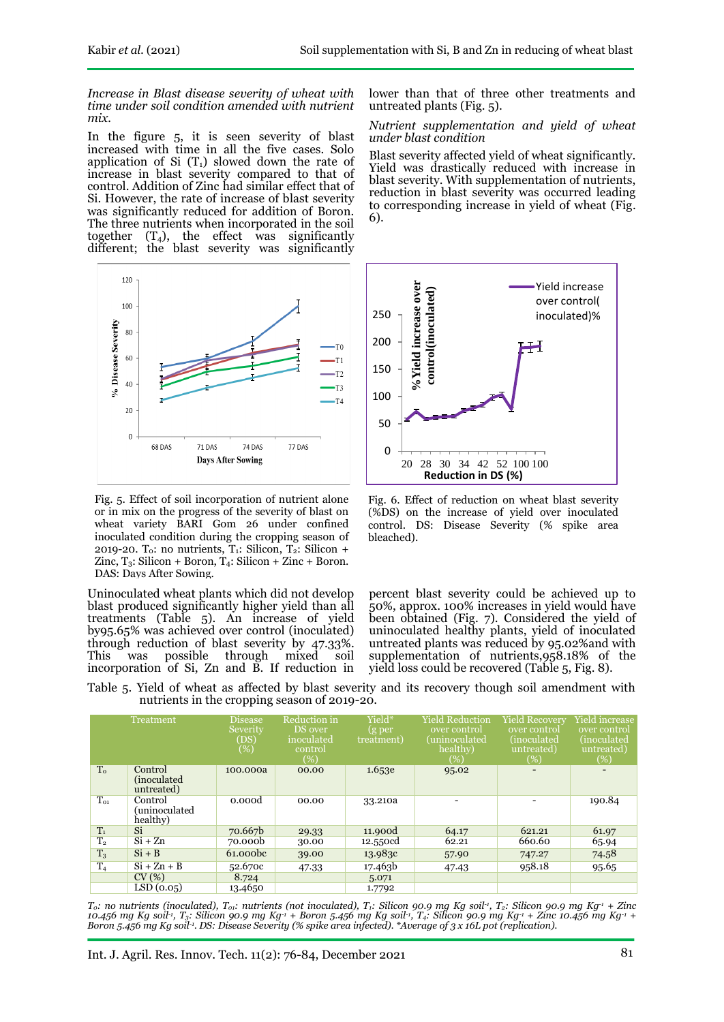*Increase in Blast disease severity of wheat with time under soil condition amended with nutrient mix.*

In the figure 5, it is seen severity of blast increased with time in all the five cases. Solo application of Si  $(T_1)$  slowed down the rate of increase in blast severity compared to that of control. Addition of Zinc had similar effect that of Si. However, the rate of increase of blast severity was significantly reduced for addition of Boron. The three nutrients when incorporated in the soil together  $(T_4)$ , the effect was significantly different; the blast severity was significantly



Fig. 5. Effect of soil incorporation of nutrient alone or in mix on the progress of the severity of blast on wheat variety BARI Gom 26 under confined inoculated condition during the cropping season of 2019-20. T<sub>0</sub>: no nutrients,  $T_1$ : Silicon,  $T_2$ : Silicon + Zinc,  $T_3$ : Silicon + Boron,  $T_4$ : Silicon + Zinc + Boron. DAS: Days After Sowing.

Uninoculated wheat plants which did not develop blast produced significantly higher yield than all treatments (Table 5). An increase of yield by95.65% was achieved over control (inoculated) through reduction of blast severity by 47.33%. This was possible through mixed soil incorporation of Si, Zn and B. If reduction in lower than that of three other treatments and untreated plants (Fig. 5).

*Nutrient supplementation and yield of wheat under blast condition*

Blast severity affected yield of wheat significantly. Yield was drastically reduced with increase in blast severity. With supplementation of nutrients, reduction in blast severity was occurred leading to corresponding increase in yield of wheat (Fig. 6).



Fig. 6. Effect of reduction on wheat blast severity (%DS) on the increase of yield over inoculated control. DS: Disease Severity (% spike area bleached).

percent blast severity could be achieved up to 50%, approx. 100% increases in yield would have been obtained (Fig. 7). Considered the yield of uninoculated healthy plants, yield of inoculated untreated plants was reduced by 95.02%and with supplementation of nutrients,958.18% of the yield loss could be recovered (Table 5, Fig. 8).

| Table 5. Yield of wheat as affected by blast severity and its recovery though soil amendment with |  |  |  |  |  |  |
|---------------------------------------------------------------------------------------------------|--|--|--|--|--|--|
| nutrients in the cropping season of 2019-20.                                                      |  |  |  |  |  |  |

|                | Treatment                             | Disease<br>Severity<br>(DS)<br>% | Reduction in<br>DS over<br>inoculated<br>control<br>$(\%)$ | Yield*<br>(g per<br>treatment) | <b>Yield Reduction</b><br>over control<br>(uninoculated<br>healthy)<br>$(\%)$ | <b>Yield Recovery</b><br>over control<br>(inoculated<br>untreated)<br>$(\%)$ | Yield increase<br>over control<br>(inoculated<br>untreated)<br>$(\%)$ |
|----------------|---------------------------------------|----------------------------------|------------------------------------------------------------|--------------------------------|-------------------------------------------------------------------------------|------------------------------------------------------------------------------|-----------------------------------------------------------------------|
| T <sub>o</sub> | Control<br>(inoculated)<br>untreated) | 100.000a                         | 00.00                                                      | 1.653e                         | 95.02                                                                         |                                                                              |                                                                       |
| $T_{01}$       | Control<br>uninoculated)<br>healthy)  | 0.000d                           | 00.00                                                      | 33.210a                        |                                                                               |                                                                              | 190.84                                                                |
| $T_1$          | Si                                    | 70.667b                          | 29.33                                                      | 11.900d                        | 64.17                                                                         | 621.21                                                                       | 61.97                                                                 |
| $T_{2}$        | $Si + Zn$                             | 70.000 <sub>b</sub>              | 30.00                                                      | 12.550cd                       | 62.21                                                                         | 660.60                                                                       | 65.94                                                                 |
| $T_3$          | $Si + B$                              | 61.000 <sub>bc</sub>             | 39.00                                                      | 13.983c                        | 57.90                                                                         | 747.27                                                                       | 74.58                                                                 |
| T <sub>4</sub> | $Si + Zn + B$                         | 52.670c                          | 47.33                                                      | 17.463b                        | 47.43                                                                         | 958.18                                                                       | 95.65                                                                 |
|                | CV(%)                                 | 8.724                            |                                                            | 5.071                          |                                                                               |                                                                              |                                                                       |
|                | LSD(0.05)                             | 13.4650                          |                                                            | 1.7792                         |                                                                               |                                                                              |                                                                       |

 $T_0$ : no nutrients (inoculated),  $T_{01}$ : nutrients (not inoculated),  $T_1$ : Silicon 90.9 mg Kg soil<sup>-1</sup>,  $T_2$ : Silicon 90.9 mg Kg<sup>-1</sup> + Zinc 10.456 mg Kg soil<sup>1</sup>, T<sub>3</sub>: Silicon 90.9 mg Kg<sup>-1</sup> + Boron 5.456 mg Kg soil<sup>-1</sup>, T<sub>4</sub>: Silicon 90.9 mg Kg<sup>-1</sup> + Zinc 10.456 mg Kg<sup>-1</sup> + *Boron 5.456 mg Kg soil<sup>-1</sup>. DS: Disease Severity (% spike area infected). \*Average of 3 x 16L pot (replication).*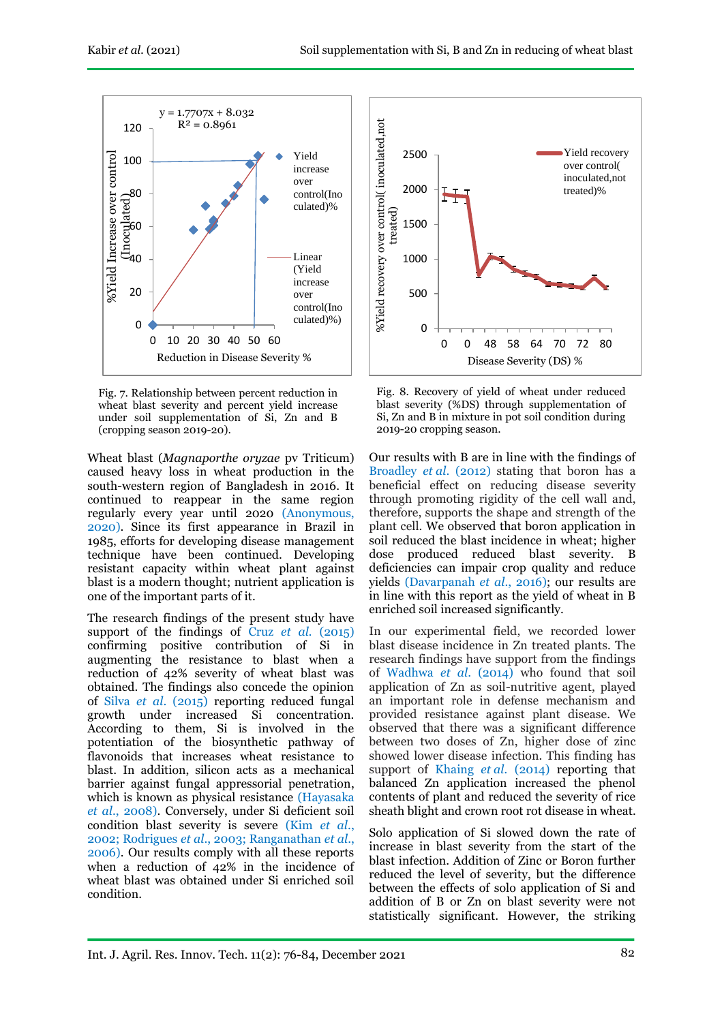

Fig. 7. Relationship between percent reduction in wheat blast severity and percent yield increase under soil supplementation of Si, Zn and B (cropping season 2019-20).

Wheat blast (*Magnaporthe oryzae* pv Triticum) caused heavy loss in wheat production in the south-western region of Bangladesh in 2016. It continued to reappear in the same region regularly every year until 2020 (Anonymous, 2020). Since its first appearance in Brazil in 1985, efforts for developing disease management technique have been continued. Developing resistant capacity within wheat plant against blast is a modern thought; nutrient application is one of the important parts of it.

The research findings of the present study have support of the findings of Cruz *et al.* (2015) confirming positive contribution of Si in augmenting the resistance to blast when a reduction of 42% severity of wheat blast was obtained. The findings also concede the opinion of Silva *et al*. (2015) reporting reduced fungal growth under increased Si concentration. According to them, Si is involved in the potentiation of the biosynthetic pathway of flavonoids that increases wheat resistance to blast. In addition, silicon acts as a mechanical barrier against fungal appressorial penetration, which is known as physical resistance (Hayasaka *et al*., 2008). Conversely, under Si deficient soil condition blast severity is severe (Kim *et al*., 2002; Rodrigues *et al*., 2003; Ranganathan *et al*., 2006). Our results comply with all these reports when a reduction of 42% in the incidence of wheat blast was obtained under Si enriched soil condition.



Fig. 8. Recovery of yield of wheat under reduced blast severity (%DS) through supplementation of Si, Zn and B in mixture in pot soil condition during 2019-20 cropping season.

Our results with B are in line with the findings of Broadley *et al*. (2012) stating that boron has a beneficial effect on reducing disease severity through promoting rigidity of the cell wall and, therefore, supports the shape and strength of the plant cell. We observed that boron application in soil reduced the blast incidence in wheat; higher dose produced reduced blast severity. B deficiencies can impair crop quality and reduce yields (Davarpanah *et al*., 2016); our results are in line with this report as the yield of wheat in B enriched soil increased significantly.

In our experimental field, we recorded lower blast disease incidence in Zn treated plants. The research findings have support from the findings of Wadhwa *et al*. (2014) who found that soil application of Zn as soil-nutritive agent, played an important role in defense mechanism and provided resistance against plant disease. We observed that there was a significant difference between two doses of Zn, higher dose of zinc showed lower disease infection. This finding has support of Khaing *et al.* (2014) reporting that balanced Zn application increased the phenol contents of plant and reduced the severity of rice sheath blight and crown root rot disease in wheat.

Solo application of Si slowed down the rate of increase in blast severity from the start of the blast infection. Addition of Zinc or Boron further reduced the level of severity, but the difference between the effects of solo application of Si and addition of B or Zn on blast severity were not statistically significant. However, the striking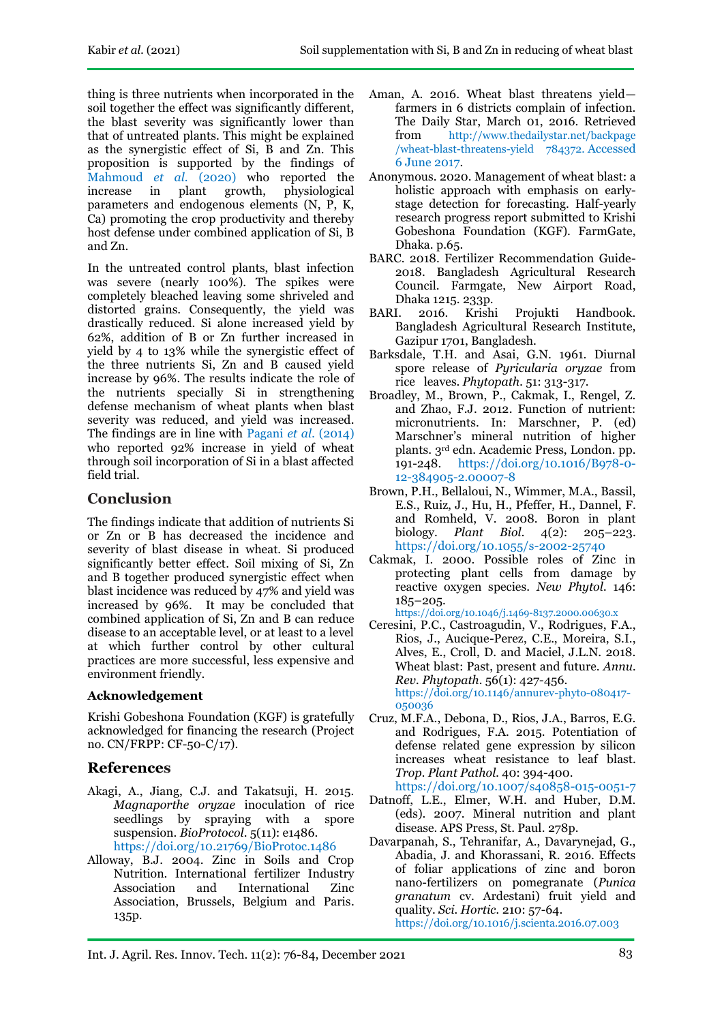thing is three nutrients when incorporated in the soil together the effect was significantly different, the blast severity was significantly lower than that of untreated plants. This might be explained as the synergistic effect of Si, B and Zn. This proposition is supported by the findings of Mahmoud *et al*. (2020) who reported the increase in plant growth, physiological parameters and endogenous elements (N, P, K, Ca) promoting the crop productivity and thereby host defense under combined application of Si, B and Zn.

In the untreated control plants, blast infection was severe (nearly 100%). The spikes were completely bleached leaving some shriveled and distorted grains. Consequently, the yield was drastically reduced. Si alone increased yield by 62%, addition of B or Zn further increased in yield by 4 to 13% while the synergistic effect of the three nutrients Si, Zn and B caused yield increase by 96%. The results indicate the role of the nutrients specially Si in strengthening defense mechanism of wheat plants when blast severity was reduced, and yield was increased. The findings are in line with Pagani *et al.* (2014) who reported 92% increase in yield of wheat through soil incorporation of Si in a blast affected field trial.

# **Conclusion**

The findings indicate that addition of nutrients Si or Zn or B has decreased the incidence and severity of blast disease in wheat. Si produced significantly better effect. Soil mixing of Si, Zn and B together produced synergistic effect when blast incidence was reduced by 47% and yield was increased by 96%. It may be concluded that combined application of Si, Zn and B can reduce disease to an acceptable level, or at least to a level at which further control by other cultural practices are more successful, less expensive and environment friendly.

## **Acknowledgement**

Krishi Gobeshona Foundation (KGF) is gratefully acknowledged for financing the research (Project no. CN/FRPP: CF-50-C/17).

## **References**

- Akagi, A., Jiang, C.J. and Takatsuji, H. 2015. *Magnaporthe oryzae* inoculation of rice seedlings by spraying with a spore suspension. *BioProtocol*. 5(11): e1486. <https://doi.org/10.21769/BioProtoc.1486>
- Alloway, B.J. 2004. Zinc in Soils and Crop Nutrition. International fertilizer Industry Association and International Zinc Association, Brussels, Belgium and Paris. 135p.
- Aman, A. 2016. Wheat blast threatens yield farmers in 6 districts complain of infection. The Daily Star, March 01, 2016. Retrieved from [http://www.thedailystar.net/backpage](http://www.thedailystar.net/backpage%20/wheat-blast-threatens-yield%20784372. Accessed%206%20June%202017)  [/wheat-blast-threatens-yield 784372.](http://www.thedailystar.net/backpage%20/wheat-blast-threatens-yield%20784372. Accessed%206%20June%202017) Accessed [6 June 2017.](http://www.thedailystar.net/backpage%20/wheat-blast-threatens-yield%20784372. Accessed%206%20June%202017)
- Anonymous. 2020. Management of wheat blast: a holistic approach with emphasis on earlystage detection for forecasting. Half-yearly research progress report submitted to Krishi Gobeshona Foundation (KGF). FarmGate, Dhaka. p.65.
- BARC. 2018. Fertilizer Recommendation Guide-2018. Bangladesh Agricultural Research Council. Farmgate, New Airport Road, Dhaka 1215. 233p.
- BARI. 2016. Krishi Projukti Handbook. Bangladesh Agricultural Research Institute, Gazipur 1701, Bangladesh.
- Barksdale, T.H. and Asai, G.N. 1961. Diurnal spore release of *Pyricularia oryzae* from rice leaves. *Phytopath.* 51: 313-317.
- Broadley, M., Brown, P., Cakmak, I., Rengel, Z. and Zhao, F.J. 2012. Function of nutrient: micronutrients. In: Marschner, P. (ed) Marschner's mineral nutrition of higher plants. 3rd edn. Academic Press, London. pp. 191-248. [https://doi.org/10.1016/B978-0-](https://doi.org/10.1016/B978-0-12-384905-2.00007-8) [12-384905-2.00007-8](https://doi.org/10.1016/B978-0-12-384905-2.00007-8)
- Brown, P.H., Bellaloui, N., Wimmer, M.A., Bassil, E.S., Ruiz, J., Hu, H., Pfeffer, H., Dannel, F. and Romheld, V. 2008. Boron in plant biology. *Plant Biol.* 4(2): 205–223. <https://doi.org/10.1055/s-2002-25740>
- Cakmak, I. 2000. Possible roles of Zinc in protecting plant cells from damage by reactive oxygen species. *New Phytol.* 146: 185–205.

<https://doi.org/10.1046/j.1469-8137.2000.00630.x>

- Ceresini, P.C., Castroagudin, V., Rodrigues, F.A., Rios, J., Aucique-Perez, C.E., Moreira, S.I., Alves, E., Croll, D. and Maciel, J.L.N. 2018. Wheat blast: Past, present and future. *Annu. Rev. Phytopath.* 56(1): 427-456. [https://doi.org/10.1146/annurev-phyto-080417-](https://doi.org/10.1146/annurev-phyto-080417-050036) [050036](https://doi.org/10.1146/annurev-phyto-080417-050036)
- Cruz, M.F.A., Debona, D., Rios, J.A., Barros, E.G. and Rodrigues, F.A. 2015. Potentiation of defense related gene expression by silicon increases wheat resistance to leaf blast. *Trop. Plant Pathol.* 40: 394-400. <https://doi.org/10.1007/s40858-015-0051-7>
- Datnoff, L.E., Elmer, W.H. and Huber, D.M. (eds). 2007. Mineral nutrition and plant disease. APS Press, St. Paul. 278p.
- Davarpanah, S., Tehranifar, A., Davarynejad, G., Abadia, J. and Khorassani, R. 2016. Effects of foliar applications of zinc and boron nano-fertilizers on pomegranate (*Punica granatum* cv. Ardestani) fruit yield and quality. *Sci. Hortic.* 210: 57-64. <https://doi.org/10.1016/j.scienta.2016.07.003>